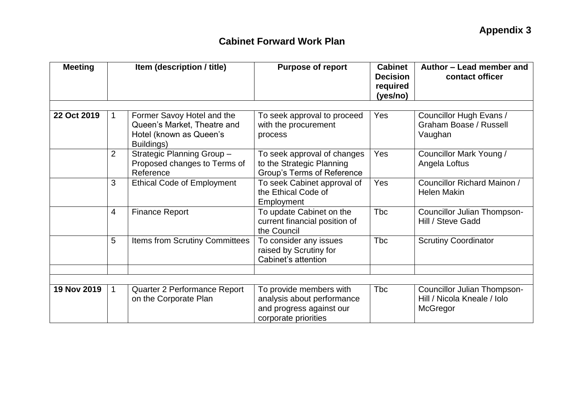| <b>Meeting</b> | Item (description / title) |                                                                                                    | <b>Purpose of report</b>                                                                                  | <b>Cabinet</b><br><b>Decision</b><br>required<br>(yes/no) | Author - Lead member and<br>contact officer                                   |  |
|----------------|----------------------------|----------------------------------------------------------------------------------------------------|-----------------------------------------------------------------------------------------------------------|-----------------------------------------------------------|-------------------------------------------------------------------------------|--|
|                |                            |                                                                                                    |                                                                                                           |                                                           |                                                                               |  |
| 22 Oct 2019    | $\mathbf 1$                | Former Savoy Hotel and the<br>Queen's Market, Theatre and<br>Hotel (known as Queen's<br>Buildings) | To seek approval to proceed<br>with the procurement<br>process                                            | Yes                                                       | Councillor Hugh Evans /<br>Graham Boase / Russell<br>Vaughan                  |  |
|                | 2                          | Strategic Planning Group -<br>Proposed changes to Terms of<br>Reference                            | To seek approval of changes<br>to the Strategic Planning<br>Group's Terms of Reference                    | Yes                                                       | Councillor Mark Young /<br>Angela Loftus                                      |  |
|                | 3                          | <b>Ethical Code of Employment</b>                                                                  | To seek Cabinet approval of<br>the Ethical Code of<br>Employment                                          | Yes                                                       | Councillor Richard Mainon /<br><b>Helen Makin</b>                             |  |
|                | $\overline{4}$             | <b>Finance Report</b>                                                                              | To update Cabinet on the<br>current financial position of<br>the Council                                  | <b>Tbc</b>                                                | Councillor Julian Thompson-<br>Hill / Steve Gadd                              |  |
|                | 5                          | Items from Scrutiny Committees                                                                     | To consider any issues<br>raised by Scrutiny for<br>Cabinet's attention                                   | <b>Tbc</b>                                                | <b>Scrutiny Coordinator</b>                                                   |  |
|                |                            |                                                                                                    |                                                                                                           |                                                           |                                                                               |  |
|                |                            |                                                                                                    |                                                                                                           |                                                           |                                                                               |  |
| 19 Nov 2019    | $\mathbf{1}$               | Quarter 2 Performance Report<br>on the Corporate Plan                                              | To provide members with<br>analysis about performance<br>and progress against our<br>corporate priorities | <b>Tbc</b>                                                | <b>Councillor Julian Thompson-</b><br>Hill / Nicola Kneale / Iolo<br>McGregor |  |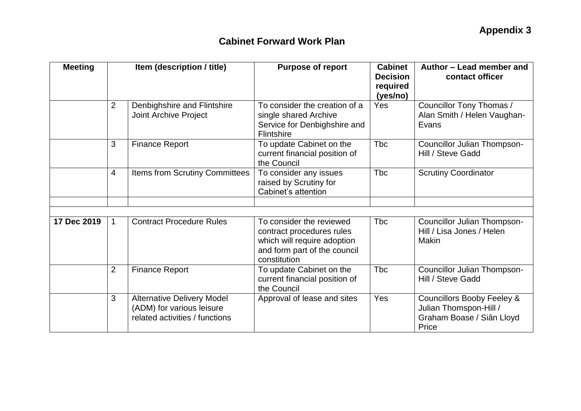| <b>Meeting</b> | Item (description / title) |                                                                                                  | <b>Purpose of report</b>                                                                                                             | <b>Cabinet</b><br><b>Decision</b><br>required<br>(yes/no) | Author - Lead member and<br>contact officer                                                           |  |
|----------------|----------------------------|--------------------------------------------------------------------------------------------------|--------------------------------------------------------------------------------------------------------------------------------------|-----------------------------------------------------------|-------------------------------------------------------------------------------------------------------|--|
|                | 2                          | Denbighshire and Flintshire<br>Joint Archive Project                                             | To consider the creation of a<br>single shared Archive<br>Service for Denbighshire and<br><b>Flintshire</b>                          | Yes                                                       | Councillor Tony Thomas /<br>Alan Smith / Helen Vaughan-<br>Evans                                      |  |
|                | 3                          | <b>Finance Report</b>                                                                            | To update Cabinet on the<br>current financial position of<br>the Council                                                             | <b>Tbc</b>                                                | Councillor Julian Thompson-<br>Hill / Steve Gadd                                                      |  |
|                | $\overline{4}$             | Items from Scrutiny Committees                                                                   | To consider any issues<br>raised by Scrutiny for<br>Cabinet's attention                                                              | <b>Tbc</b>                                                | <b>Scrutiny Coordinator</b>                                                                           |  |
|                |                            |                                                                                                  |                                                                                                                                      |                                                           |                                                                                                       |  |
| 17 Dec 2019    | $\mathbf{1}$               | <b>Contract Procedure Rules</b>                                                                  | To consider the reviewed<br>contract procedures rules<br>which will require adoption<br>and form part of the council<br>constitution | <b>Tbc</b>                                                | <b>Councillor Julian Thompson-</b><br>Hill / Lisa Jones / Helen<br>Makin                              |  |
|                | 2                          | <b>Finance Report</b>                                                                            | To update Cabinet on the<br>current financial position of<br>the Council                                                             | <b>Tbc</b>                                                | Councillor Julian Thompson-<br>Hill / Steve Gadd                                                      |  |
|                | 3                          | <b>Alternative Delivery Model</b><br>(ADM) for various leisure<br>related activities / functions | Approval of lease and sites                                                                                                          | Yes                                                       | <b>Councillors Booby Feeley &amp;</b><br>Julian Thomspon-Hill /<br>Graham Boase / Siân Lloyd<br>Price |  |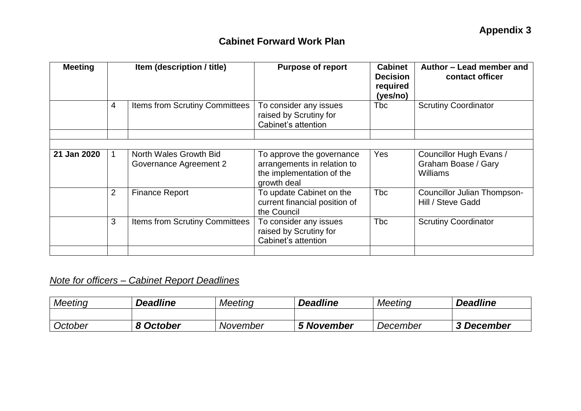| <b>Meeting</b> | Item (description / title) |                                                         | <b>Purpose of report</b>                                                                             | <b>Cabinet</b><br><b>Decision</b><br>required<br>(yes/no) | Author - Lead member and<br>contact officer                |
|----------------|----------------------------|---------------------------------------------------------|------------------------------------------------------------------------------------------------------|-----------------------------------------------------------|------------------------------------------------------------|
|                | 4                          | <b>Items from Scrutiny Committees</b>                   | To consider any issues<br>raised by Scrutiny for<br>Cabinet's attention                              | <b>T</b> bc                                               | <b>Scrutiny Coordinator</b>                                |
|                |                            |                                                         |                                                                                                      |                                                           |                                                            |
| 21 Jan 2020    |                            | North Wales Growth Bid<br><b>Governance Agreement 2</b> | To approve the governance<br>arrangements in relation to<br>the implementation of the<br>growth deal | Yes                                                       | Councillor Hugh Evans /<br>Graham Boase / Gary<br>Williams |
|                | $\overline{2}$             | <b>Finance Report</b>                                   | To update Cabinet on the<br>current financial position of<br>the Council                             | <b>Tbc</b>                                                | Councillor Julian Thompson-<br>Hill / Steve Gadd           |
|                | 3                          | <b>Items from Scrutiny Committees</b>                   | To consider any issues<br>raised by Scrutiny for<br>Cabinet's attention                              | <b>Tbc</b>                                                | <b>Scrutiny Coordinator</b>                                |
|                |                            |                                                         |                                                                                                      |                                                           |                                                            |

# *Note for officers – Cabinet Report Deadlines*

| <b>Meeting</b> | <b>Deadline</b> | <b>Meeting</b> | <b>Deadline</b>   | Meeting  | <b>Deadline</b> |
|----------------|-----------------|----------------|-------------------|----------|-----------------|
|                |                 |                |                   |          |                 |
| October        | 8 October       | November       | <b>5 November</b> | December | 3 December      |